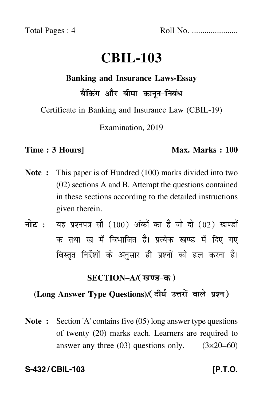Total Pages : 4 Roll No. ......................

# **CBIL-103**

#### **Banking and Insurance Laws-Essay**

# बैंकिंग और बीमा कानून-निबंध

Certificate in Banking and Insurance Law (CBIL-19)

Examination, 2019

### **Time : 3 Hours]** Max. Marks : 100

- **Note :** This paper is of Hundred (100) marks divided into two (02) sections A and B. Attempt the questions contained in these sections according to the detailed instructions given therein.
- नोट : यह प्रश्नपत्र सौ (100) अंकों का है जो दो (02) खण्डों क तथा ख में विभाजित है। प्रत्येक खण्ड में दिए गए विस्तृत निर्देशों के अनुसार ही प्रश्नों को हल करना है।

# **SECTION–A/**

# **(Long Answer Type Questions)**/

**Note :** Section 'A' contains five (05) long answer type questions of twenty (20) marks each. Learners are required to answer any three  $(03)$  questions only.  $(3 \times 20=60)$ 

## **S-432 / CBIL-103 [P.T.O.**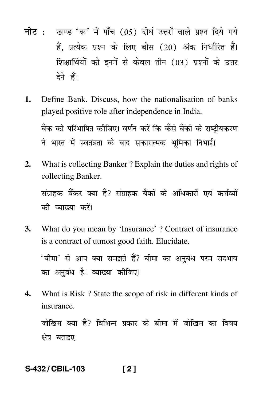- <mark>नोट</mark> : खण्ड 'क' में पाँच (05) दीर्घ उत्तरों वाले प्रश्न दिये गये हैं, प्रत्येक प्रश्न के लिए बीस (20) अंक निर्धारित हैं। शिक्षार्थियों को इनमें से केवल तीन (03) प्रश्नों के उत्तर देने हैं।
- **1.** Define Bank. Discuss, how the nationalisation of banks played positive role after independence in India. बैंक को परिभाषित कीजिए। वर्णन करें कि कैसे बैंकों के राष्ट्रीयकरण ने भारत में स्वतंत्रता के बाद सकारात्मक भूमिका निभाई।
- **2.** What is collecting Banker ? Explain the duties and rights of collecting Banker.

संग्राहक बैंकर क्या है? संग्राहक बैंकों के अधिकारों एवं कर्त्तव्यों की व्याख्य<mark>ा</mark> करें।

**3.** What do you mean by 'Insurance' ? Contract of insurance is a contract of utmost good faith. Elucidate. 'बीमा' से आप क्या समझते हैं? बीमा का अनुबंध परम सदभाव

का अनुबंध है। व्याख्या कीजिए।

**4.** What is Risk ? State the scope of risk in different kinds of insurance.

जोखिम क्या है? विभिन्न प्रकार के बीमा में जोखिम का विषय क्षेत्र बताइए।

# **S-432 / CBIL-103 [ 2 ]**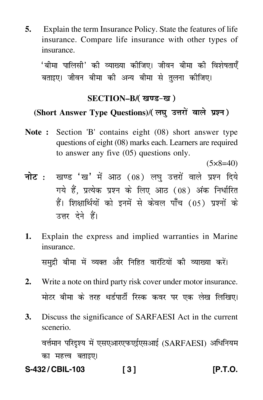**5.** Explain the term Insurance Policy. State the features of life insurance. Compare life insurance with other types of insurance.

'बीमा पालिसी' की व्याख्या कीजिए। जीवन बीमा की विशेषताए<mark>ँ</mark> बताइए। जीवन बीमा की अन्य बीमा से तलना कीजिए।

# **SECTION–B/**

# (Short Answer Type Questions)/( लघु उत्तरों वाले प्रश्न )

**Note :** Section 'B' contains eight (08) short answer type questions of eight (08) marks each. Learners are required to answer any five (05) questions only.

 $(5 \times 8 = 40)$ 

- <mark>नोट</mark> : खण्ड 'ख' में आठ (08) लघु उत्तरों वाले प्रश्न दिये गये हैं, प्रत्येक प्रश्न के लिए आठ (08) अंक निर्धारित हैं। शिक्षार्थियों को इनमें से केवल पाँच (05) प्रश्नों के उत्तर देने हैं।
- **1.** Explain the express and implied warranties in Marine insurance. समुद्री बीमा में व्यक्त और निहित वार्राटयों की व्याख्या करें।
- **2.** Write a note on third party risk cover under motor insurance. मोटर बीमा के तरह थर्डपार्टी रिस्क कवर पर एक लेख लिखिए।
- **3.** Discuss the significance of SARFAESI Act in the current scenerio. वर्त्तमान परिदृश्य में एसएआरएफएईएसआई (SARFAESI) अधिनियम

का महत्त्व बताइए।

**S-432 / CBIL-103 [ 3 ] [P.T.O.**